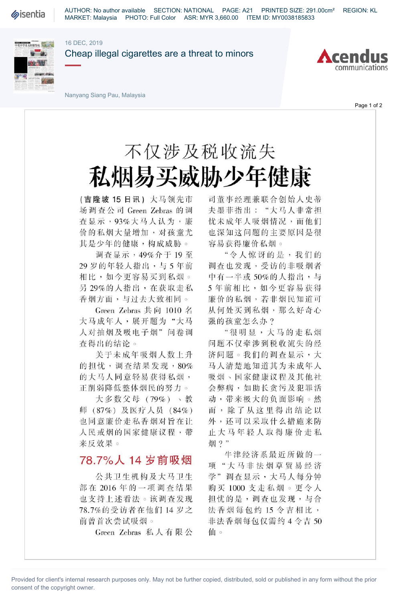**Sisentia** 

AUTHOR: No author available SECTION: NATIONAL PAGE: A21 PRINTED SIZE: 291.00cm² REGION: KL MARKET: Malaysia PHOTO: Full Color ASR: MYR 3,660.00 ITEM ID: MY0038185833

#### 16 DEC, 2019



Cheap illegal cigarettes are a threat to minors



Nanyang Siang Pau, Malaysia

Page 1 of 2

# 不仅涉及税收流失 私烟易买威胁少年健康

(吉隆坡15日讯)大马领先市 场调查公司Green Zebras的调 查显示,93%大马人认为,廉 价的私烟大量增加,对孩童尤 其是少年的健康,构成威胁。

调查显示,49%介于19至 29岁的年轻人指出,与5年前 相比,如今更容易买到私烟。 另29%的人指出,在获取走私 香烟方面,与过去大致相同。

Green Zebras 共向 1010 名 大马成年人,展开题为"大马 人对抽烟及吸电子烟"问卷调 查得出的结论。

关于未成年吸烟人数上升 的担忧,调查结果发现,80% 的大马人同意轻易获得私烟, 正削弱降低整体烟民的努力。

大多数父母(79%)、教 师(87%)及医疗人员(84%) 也同意廉价走私香烟对旨在让 人民戒烟的国家健康议程,带 来反效果。

## 78.7%人14岁前吸烟

公共卫生机构及大马卫生 部在2016年的一项调查结果 也支持上述看法。该凋查发现 78.7%的受访者在他们14岁之 前曾首次尝试吸烟。

Green Zebras 私人有限公

司董事经理兼联合创始人史蒂 夫墨菲指出:"大马人非常担 忧未成年人吸烟情况,而他们 也深知这问题的主要原因是很 容易获得廉价私烟。

"令人惊冴的是,我们的 调查也发现,受访的非吸烟者 中有一半或50%的人指出,与 5年前相比,如今更容易获得 廉价的私烟,若非烟民知道可 从何处买到私烟,那么好奇心 强的孩童怎么办?

"很明显,大马的走私烟 问题不仅牵涉到税收流失的经 济问题。我们的调查显示,大 马人清楚地知道其为未成年人 吸烟、国家健康议程及其他社 会弊病,如助长贪污及犯罪活 动,带来极大的负面影响。然 而,除了从这里得出结论以 外,还可以采取什么措施来防 止大马年轻人取得廉价走私 烟?"

牛津经济系最近所做的一 项"大马非法烟草贸易经济 学"调查显示,大马人每分钟 购买1000支走私烟。更令人 担忧的是,调查也发现,与合 法香烟每包约 15 令吉相比, 非法香烟每包仅需约4令吉50 仙。

Provided for client's internal research purposes only. May not be further copied, distributed, sold or published in any form without the prior consent of the copyright owner.